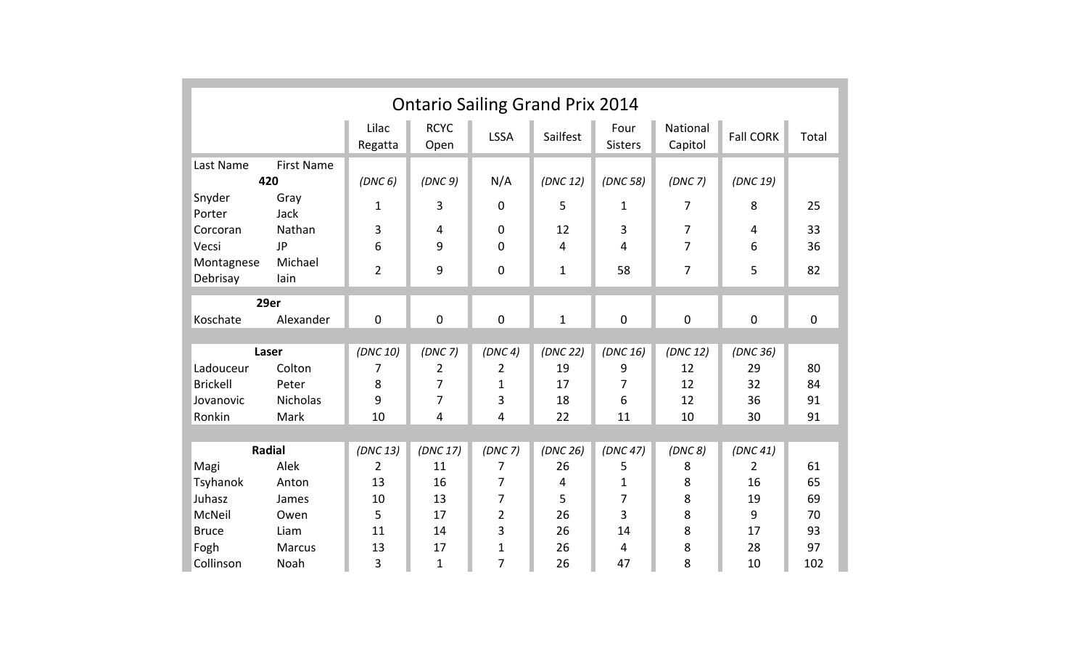| <b>Ontario Sailing Grand Prix 2014</b>                                                          |                             |                          |                     |                         |                |                          |                     |                  |             |
|-------------------------------------------------------------------------------------------------|-----------------------------|--------------------------|---------------------|-------------------------|----------------|--------------------------|---------------------|------------------|-------------|
|                                                                                                 |                             | Lilac<br>Regatta         | <b>RCYC</b><br>Open | <b>LSSA</b>             | Sailfest       | Four<br><b>Sisters</b>   | National<br>Capitol | <b>Fall CORK</b> | Total       |
| <b>First Name</b><br>Last Name<br>420<br>Snyder<br>Gray                                         |                             | (DNC <sub>6</sub> )<br>1 | (DNC 9)<br>3        | N/A<br>$\mathbf 0$      | (DNC 12)<br>5  | (DNC 58)<br>$\mathbf{1}$ | (DNC 7)<br>7        | (DNC 19)<br>8    | 25          |
| Porter<br>Corcoran<br>Vecsi                                                                     | Jack<br>Nathan<br><b>JP</b> | 3<br>6                   | 4<br>9              | $\mathbf 0$<br>$\Omega$ | 12<br>4        | 3<br>4                   | 7<br>$\overline{7}$ | 4<br>6           | 33<br>36    |
| Montagnese<br>Debrisay                                                                          | Michael<br>lain             | $\overline{2}$           | 9                   | 0                       | $\mathbf{1}$   | 58                       | 7                   | 5                | 82          |
| 29er                                                                                            |                             |                          |                     |                         |                |                          |                     |                  |             |
| Koschate                                                                                        | Alexander                   | $\mathbf 0$              | $\mathbf 0$         | $\mathbf 0$             | $\mathbf{1}$   | $\mathbf 0$              | $\mathbf 0$         | 0                | $\mathbf 0$ |
|                                                                                                 |                             |                          |                     |                         |                |                          |                     |                  |             |
| Laser                                                                                           |                             | (DNC 10)                 | (DNC 7)             | (DNC 4)                 | (DNC 22)       | (DNC 16)                 | (DNC 12)            | (DNC 36)         |             |
| Ladouceur                                                                                       | Colton                      | 7                        | 2                   | 2                       | 19             | 9                        | 12                  | 29               | 80          |
| <b>Brickell</b>                                                                                 | Peter                       | 8                        | 7                   | $\mathbf{1}$            | 17             | 7                        | 12                  | 32               | 84          |
| Jovanovic                                                                                       | <b>Nicholas</b><br>Mark     | 9                        | 7<br>$\overline{4}$ | 3                       | 18<br>22       | 6<br>11                  | 12                  | 36<br>30         | 91          |
| Ronkin                                                                                          |                             | 10                       |                     | 4                       |                |                          | 10                  |                  | 91          |
| <b>Radial</b><br>(DNC 13)<br>(DNC 17)<br>(DNC 26)<br>(DNC 47)<br>(DNC 7)<br>(DNC 8)<br>(DNC 41) |                             |                          |                     |                         |                |                          |                     |                  |             |
| Magi                                                                                            | Alek                        | $\overline{2}$           | 11                  | 7                       | 26             | 5                        | 8                   | 2                | 61          |
| Tsyhanok                                                                                        | Anton                       | 13                       | 16                  | 7                       | $\overline{4}$ | 1                        | 8                   | 16               | 65          |
| Juhasz                                                                                          | James                       | 10                       | 13                  | 7                       | 5              | 7                        | 8                   | 19               | 69          |
| McNeil                                                                                          | Owen                        | 5                        | 17                  | $\overline{2}$          | 26             | 3                        | 8                   | 9                | 70          |
| <b>Bruce</b>                                                                                    | Liam                        | 11                       | 14                  | 3                       | 26             | 14                       | 8                   | 17               | 93          |
| Fogh                                                                                            | <b>Marcus</b>               | 13                       | 17                  | $\mathbf{1}$            | 26             | 4                        | 8                   | 28               | 97          |
| Collinson                                                                                       | Noah                        | 3                        | 1                   | $\overline{7}$          | 26             | 47                       | 8                   | 10               | 102         |